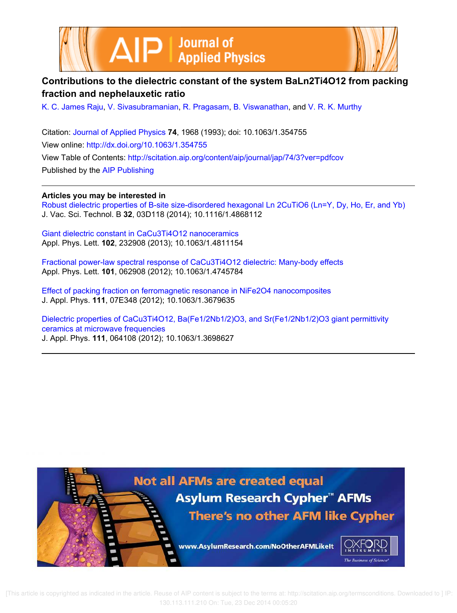



# **Contributions to the dielectric constant of the system BaLn2Ti4O12 from packing fraction and nephelauxetic ratio**

K. C. James Raju, V. Sivasubramanian, R. Pragasam, B. Viswanathan, and V. R. K. Murthy

Citation: Journal of Applied Physics **74**, 1968 (1993); doi: 10.1063/1.354755 View online: http://dx.doi.org/10.1063/1.354755 View Table of Contents: http://scitation.aip.org/content/aip/journal/jap/74/3?ver=pdfcov Published by the AIP Publishing

**Articles you may be interested in**

Robust dielectric properties of B-site size-disordered hexagonal Ln 2CuTiO6 (Ln=Y, Dy, Ho, Er, and Yb) J. Vac. Sci. Technol. B **32**, 03D118 (2014); 10.1116/1.4868112

Giant dielectric constant in CaCu3Ti4O12 nanoceramics Appl. Phys. Lett. **102**, 232908 (2013); 10.1063/1.4811154

Fractional power-law spectral response of CaCu3Ti4O12 dielectric: Many-body effects Appl. Phys. Lett. **101**, 062908 (2012); 10.1063/1.4745784

Effect of packing fraction on ferromagnetic resonance in NiFe2O4 nanocomposites J. Appl. Phys. **111**, 07E348 (2012); 10.1063/1.3679635

Dielectric properties of CaCu3Ti4O12, Ba(Fe1/2Nb1/2)O3, and Sr(Fe1/2Nb1/2)O3 giant permittivity ceramics at microwave frequencies J. Appl. Phys. **111**, 064108 (2012); 10.1063/1.3698627



 [This article is copyrighted as indicated in the article. Reuse of AIP content is subject to the terms at: http://scitation.aip.org/termsconditions. Downloaded to ] IP: 130.113.111.210 On: Tue, 23 Dec 2014 00:05:20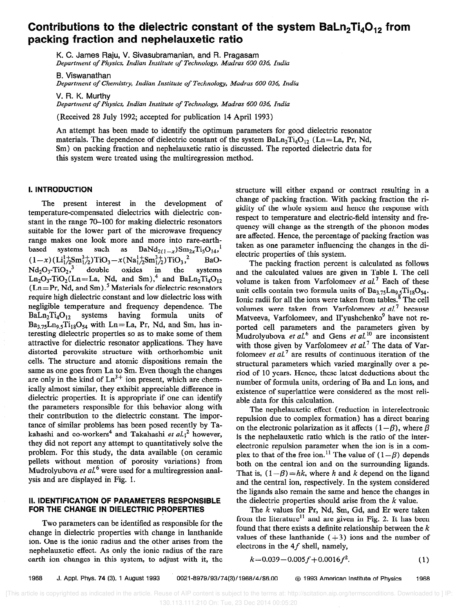# Contributions to the dielectric constant of the system  $Baln<sub>2</sub>Ti<sub>4</sub>O<sub>12</sub>$  from packing fraction and nephelauxetic ratio

K. C. James Raju, V. Sivasubramanian, and FL Pragasam Department of Physics, Indian Institute of Technology, Madras 600 036, India

B. Viswanathan Department of Chemistry, Indian Institute of Technology, Madras 600 036, India

V. R. K. Murthy Department of Physics, Indian Institute of Technology, Madras 600 036, India

(Received 28 July 1992; accepted for publication 14 April 1993)

An attempt has been made to identify the optimum parameters for good dielectric resonator materials. The dependence of dielectric constant of the system  $Baln_1Ti_4O_{12}$  (Ln=La, Pr, Nd, Sm) on packing fraction and nephelauxetic ratio is discussed. The reported dielectric data for this system were treated using the multiregression method.

## 1. INTRODUCTION

The present interest in the development of temperature-compensated dielectrics with dielectric constant in the range 70-100 for making dielectric resonators suitable for the lower part of the microwave frequency range makes one look more and more into rare-earthbased systems such as  $BaNd_{2(1-x)}Sm_{2x}Ti_5O_{14}$ ,  $(1-x)$   $(\text{Li}_{1/2}^{1+}\text{Sm}_{1/2}^{3+})$   $\text{TiO}_3 - x(\text{Na}_{1/2}^{1+}\text{Sm}_{1/2}^{3+})$   $\text{TiO}_3$ ,<sup>2</sup> BaO- $Nd_2O_3$ -TiO<sub>2</sub>,<sup>3</sup> double oxides in the systems  $\text{Ln}_2\text{O}_3$ -TiO<sub>2</sub>(Ln=La, Nd, and Sm),<sup>+</sup> and BaLn<sub>2</sub>Ti<sub>4</sub>O  $(Ln= Pr, Nd, and Sm)$ .<sup>5</sup> Materials for dielectric resonators require high dielectric constant and low dielectric loss with negligible temperature and frequency dependence. The BaLn<sub>2</sub>Ti<sub>4</sub>O<sub>12</sub> systems having formula units of  $BaLn<sub>2</sub>Ti<sub>4</sub>O<sub>12</sub>$  systems having formula units of  $Ba_{3.75}Ln_{9.5}Ti_{18}O_{54}$  with  $Ln=La$ , Pr, Nd, and Sm, has interesting dielectric properties so as to make some of them attractive for dielectric resonator applications. They have distorted perovskite structure with orthorhombic unit cells. The structure and atomic dispositions remain the same as one goes from La to Sm. Even though the changes are only in the kind of  $Ln<sup>3+</sup>$  ion present, which are chemically almost similar, they exhibit appreciable difference in dielectric properties. It is appropriate if one can identify the parameters responsible for this behavior along with their contribution to the dielectric constant. The importance of similar problems has been posed recently by Takahashi and co-workers<sup>4</sup> and Takahashi et  $al:_{i}^{2}$  however, they did not report any attempt to quantitatively solve the problem. For this study, the data available (on ceramic pellets without mention of porosity variations) from Mudrolyubova et  $al^6$  were used for a multiregression analysis and are displayed in Fig. 1.

## II. IDENTIFICATION OF PARAMETERS RESPONSIBLE FOR THE CHANGE IN DIELECTRIC PROPERTIES

Two parameters can be identified as responsible for the change in dielectric properties with change in lanthanide ion. One is the ionic radius and the other arises from the nephelauxetic effect. As only the ionic radius of the rare earth ion changes in this system, to adjust with it, the structure will either expand or contract resulting in a change of packing fraction. With packing fraction the rigidity of the whole system and hence the response with respect to temperature and electric-field intensity and frequency will change as the strength of the phonon modes are affected. Hence, the percentage of packing fraction was taken as one parameter influencing the changes in the dielectric properties of this system.

The packing fraction percent is calculated as follows and the calculated values are given in Table I. The cell volume is taken from Varfolomeev et  $al$ <sup>7</sup> Each of these unit cells contain two formula units of  $Ba_{3.75}Ln_{9.5}Ti_{18}O_{54}$ . Ionic radii for all the ions were taken from tables.' The cell volumes were taken from Varfolomeev et  $al$ <sup>7</sup> because Matveeva, Varfolomeev, and Il'yushchenko<sup>9</sup> have not reported cell parameters and the parameters given by Mudrolyubova et al.<sup>6</sup> and Gens et al.<sup>10</sup> are inconsistent with those given by Varfolomeev et  $al$ <sup>7</sup> The data of Varfolomeev et  $al^7$  are results of continuous iteration of the structural parameters which varied marginally over a period of 10 years. Hence, these latest deductions about the number of formula units, ordering of Ba and Ln ions, and existence of superlattice were considered as the most reliable data for this calculation.

The nephelauxetic effect (reduction in interelectronic repulsion due to complex formation) has a direct bearing on the electronic polarization as it affects  $(1 - \beta)$ , where  $\beta$ is the nephelauxetic ratio which is the ratio of the interelectronic repulsion parameter when the ion is in a complex to that of the free ion.<sup>11</sup> The value of  $(1-\beta)$  depends both on the central ion and on the surrounding ligands. That is,  $(1-\beta) = hk$ , where h and k depend on the ligand and the central ion, respectively. In the system considered the ligands also remain the same and hence the changes in the dielectric properties should arise from the  $k$  value.

The  $k$  values for Pr, Nd, Sm, Gd, and Er were taken from the literature<sup>11</sup> and are given in Fig. 2. It has been found that there exists a definite relationship between the  $k$ values of these lanthanide  $(+3)$  ions and the number of electrons in the  $4f$  shell, namely,

$$
k=0.039-0.005f+0.0016f^2.
$$
 (1)

1968 J. Appl. Phys. 74 (3), 1 August 1993 0021-8979/93/74(3)/1968/4/\$6.00 @I 1993 American Institute of Physics 1968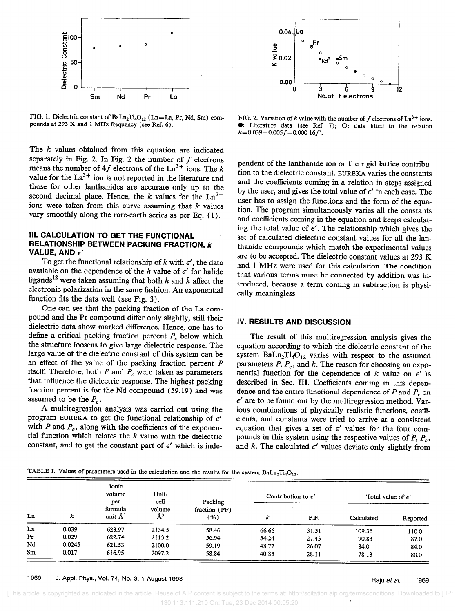

FIG. 1. Dielectric constant of  $BaLn<sub>2</sub>Ti<sub>4</sub>O<sub>12</sub>$  (Ln=La, Pr, Nd, Sm) compounds at 293 K and 1 MHz frequency (see Ref. 6).

The  $k$  values obtained from this equation are indicated separately in Fig. 2. In Fig. 2 the number of  $f$  electrons means the number of 4f electrons of the  $Ln^{3+}$  ions. The k value for the  $La^{3+}$  ion is not reported in the literature and those for other lanthanides are accurate only up to the second decimal place. Hence, the k values for the  $Ln^{3+}$ ions were taken from this curve assuming that  $k$  values vary smoothly along the rare-earth series as per Eq. ( 1).

## Ill. CALCULATION TO GET THE FUNCTIONAL RELATIONSHIP BETWEEN PACKING FRACTION, k VALUE, AND  $\epsilon'$

To get the functional relationship of k with  $\epsilon'$ , the data available on the dependence of the  $h$  value of  $\epsilon'$  for halide ligands<sup>12</sup> were taken assuming that both h and k affect the electronic polarization in the same fashion. An exponential function fits the data well (see Fig. 3).

One can see that the packing fraction of the La compound and the Pr compound differ only slightly, still their dielectric data show marked difference. Hence, one has to define a critical packing fraction percent  $P_c$  below which the structure loosens to give large dielectric response. The large value of the dielectric constant of this system can be an effect of the value of the packing fraction percent P itself. Therefore, both  $P$  and  $P<sub>c</sub>$  were taken as parameters that influence the dielectric response. The highest packing fraction percent is for the Nd compound (59.19) and was assumed to be the  $P_c$ .

A multiregression analysis was carried out using the program EUREKA to get the functional relationship of  $\epsilon'$ with  $P$  and  $P_c$ , along with the coefficients of the exponential function which relates the  $k$  value with the dielectric constant, and to get the constant part of  $\epsilon'$  which is inde-



FIG. 2. Variation of k value with the number of f electrons of  $Ln^{3+}$  ions. 0: Literature data (see Ref. 7); 0: data fitted to the relation  $k=0.039-0.005f+0.00016f^2$ .

pendent of the lanthanide ion or the rigid lattice contribution to the dielectric constant. EUREKA varies the constants and the coefficients coming in a relation in steps assigned by the user, and gives the total value of  $\epsilon'$  in each case. The user has to assign the functions and the form of the equation. The program simultaneously varies all the constants and coefficients coming in the equation and keeps calculating the total value of  $\epsilon'$ . The relationship which gives the set of calculated dielectric constant values for all the lanthanide compounds which match the experimental values are to be accepted. The dielectric constant values at 293 K and 1 MHz were used for this calculation. The condition that various terms must be connected by addition was introduced, because a term coming in subtraction is physically meaningless.

#### IV. RESULTS AND DISCUSSION

The result of this multiregression analysis gives the equation according to which the dielectric constant of the system  $BaLn<sub>2</sub>Ti<sub>4</sub>O<sub>12</sub>$  varies with respect to the assumed parameters  $P$ ,  $P_c$ , and  $k$ . The reason for choosing an exponential function for the dependence of k value on  $\epsilon'$  'is described in Sec. III. Coefficients coming in this dependence and the entire functional dependence of P and  $\overline{P}_c$  on  $\epsilon'$  are to be found out by the multiregression method. Various combinations of physically realistic functions, coefficients, and constants were tried to arrive at a consistent equation that gives a set of  $\epsilon'$  values for the four compounds in this system using the respective values of  $P$ ,  $P_c$ , and  $k$ . The calculated  $\epsilon'$  values deviate only slightly from

TABLE I. Values of parameters used in the calculation and the results for the system BaLn<sub>2</sub>T<sub>i4</sub>O<sub>12</sub>.

| Ln             | k      | Ionic<br>volume<br>per<br>formula<br>unit $\AA^3$ | Unit-<br>cell<br>volume<br>$\AA^3$ | Packing<br>fraction $(PF)$<br>(%) | Contribution to $\epsilon'$ |       | Total value of $\epsilon'$ |          |
|----------------|--------|---------------------------------------------------|------------------------------------|-----------------------------------|-----------------------------|-------|----------------------------|----------|
|                |        |                                                   |                                    |                                   | k                           | P.F.  | Calculated                 | Reported |
| La             | 0.039  | 623.97                                            | 2134.5                             | 58.46                             | 66.66                       | 31.51 | 109.36                     | 110.0    |
| P <sub>r</sub> | 0.029  | 622.74                                            | 2113.2                             | 56.94                             | 54.24                       | 27.43 | 90.83                      | 87.0     |
| Nd             | 0.0245 | 621.53                                            | 2100.0                             | 59.19                             | 48.77                       | 26.07 | 84.0                       | 84.0     |
| Sm             | 0.017  | 616.95                                            | 2097.2                             | 58.84                             | 40.85                       | 28.11 | 78.13                      | 80.0     |

1969 J. Appl. Phys., Vol. 74, No. 3, 1 August 1993 Raju et al. 1969 Raju et al. 1969

 [This article is copyrighted as indicated in the article. Reuse of AIP content is subject to the terms at: http://scitation.aip.org/termsconditions. Downloaded to ] IP: 130.113.111.210 On: Tue, 23 Dec 2014 00:05:20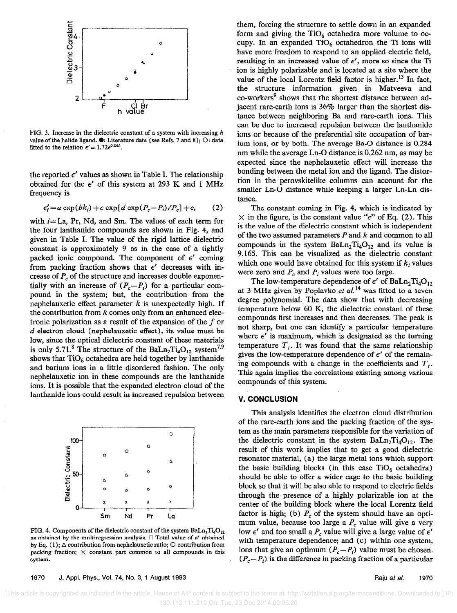

FIG. 3. Increase in the dielectric constant of a system with increasing h value of the halide ligand.  $\bullet$ : Literature data (see Refs. 7 and 8); O: data fitted to the relation  $\epsilon' = 1.72e^{0.26h}$ .

the reported  $\epsilon'$  values as shown in Table I. The relationship obtained for the  $\epsilon'$  of this system at 293 K and 1 MHz frequency is

$$
\epsilon_i' = a \exp(bk_i) + c \exp[d \exp(P_c - P_i)/P_c] + e,\qquad(2)
$$

with  $i=La$ , Pr, Nd, and Sm. The values of each term for the four lanthanide compounds are shown in Fig. 4, and given in Table I. The value of the rigid lattice dielectric constant is approximately 9 as in the case of a tightly packed ionic compound. The component of  $\epsilon'$  coming from packing fraction shows that  $\epsilon'$  decreases with increase of  $P_c$  of the structure and increases double exponentially with an increase of  $(P_c-P_i)$  for a particular compound in the system; but, the contribution from the nephelauxetic effect parameter  $k$  is unexpectedly high. If the contribution from  $k$  comes only from an enhanced electronic polarization as a result of the expansion of the  $f$  or  $d$  electron cloud (nephelauxetic effect), its value must be low, since the optical dielectric constant of these materials is only 5.71.<sup>8</sup> The structure of the BaLn<sub>2</sub>Ti<sub>4</sub>O<sub>12</sub> system<sup>7,9</sup> shows that  $TiO<sub>6</sub>$  octahedra are held together by lanthanide and barium ions in a little disordered fashion. The only nephelauxetic ion in these compounds are the lanthanide ions. It is possible that the expanded electron cloud of the lanthanide ions could result in increased repulsion between



FIG. 4. Components of the dielectric constant of the system  $BaLn<sub>2</sub>Ti<sub>4</sub>O<sub>12</sub>$ as obtained by the multiregression analysis.  $\Box$  Total value of  $\epsilon'$  obtained by Eq. (1);  $\Delta$  contribution from nephelauxetic ratio;  $\circ$  contribution from packing fraction;  $\times$  constant part common to all compounds in this system.

them, forcing the structure to settle down in an expanded form and giving the  $TiO<sub>6</sub>$  octahedra more volume to occupy. In an expanded  $TiO_6$  octahedron the Ti ions will have more freedom to respond to an applied electric field, resulting in an increased value of  $\epsilon'$ , more so since the Ti ion is highly polarizable and is located at a site where the value of the local Lorentz field factor is higher.<sup>13</sup> In fact, the structure information given in Matveeva and co-workers<sup>9</sup> shows that the shortest distance between adjacent rare-earth ions is 36% larger than the shortest distance between neighboring Ba and rare-earth ions. This can be due to increased repulsion between the lanthanide ions or because of the preferential site occupation of barium ions, or by both. The average Ba-O distance is 0.284 nm while the average Ln-O distance is 0.262 nm, as may be expected since the nephelauxetic effect will increase the bonding between the metal ion and the ligand. The distortion in the perovskitelike columns can account for the smaller Ln-O distance while keeping a larger Ln-Ln distance.

The constant coming in Fig. 4, which is indicated by  $\times$  in the figure, is the constant value "e" of Eq. (2). This is the value of the dielectric constant which is independent of the two assumed parameters  $P$  and  $k$  and common to all compounds in the system  $BaLn<sub>2</sub>Ti<sub>4</sub>O<sub>12</sub>$  and its value is 9.165. This can be visualized as the dielectric constant which one would have obtained for this system if  $k_i$  values were zero and  $P_c$  and  $P_i$  values were too large.

The low-temperature dependence of  $\epsilon'$  of BaLn<sub>2</sub>Ti<sub>4</sub>O<sub>12</sub> at 3 MHz given by Poplavko et al.<sup>14</sup> was fitted to a seven degree polynomial. The data show that with decreasing temperature below 60 K, the dielectric constant of these compounds first increases and then decreases. The peak is not sharp, but one can identify a particular temperature where  $\epsilon'$  is maximum, which is designated as the turning temperature  $T_t$ . It was found that the same relationship gives the low-temperature dependence of  $\epsilon'$  of the remaining compounds with a change in the coefficients and  $T_t$ . This again implies the correlations existing among various compounds of this system.

## **V. CONCLUSION**

This analysis identifies the electron cloud distribution of the rare-earth ions and the packing fraction of the system as the main parameters responsible for the variation of the dielectric constant in the system  $BaLn<sub>2</sub>Ti<sub>4</sub>O<sub>12</sub>$ . The result of this work implies that to get a good dielectric resonator material, (a) the large metal ions which support the basic building blocks (in this case  $TiO<sub>6</sub>$  octahedra) should be able to offer a wider cage to the basic building block so that it will be also able to respond to electric fields through the presence of a highly polarizable ion at the center of the building block where the local Lorentz field factor is high; (b)  $P_c$  of the system should have an optimum value, because too large a  $P_c$  value will give a very low  $\epsilon'$  and too small a  $P_c$  value will give a large value of  $\epsilon'$ with temperature dependence; and (c) within one system, ions that give an optimum  $(P_c-P_i)$  value must be chosen.  $(P_c-P_i)$  is the difference in packing fraction of a particular